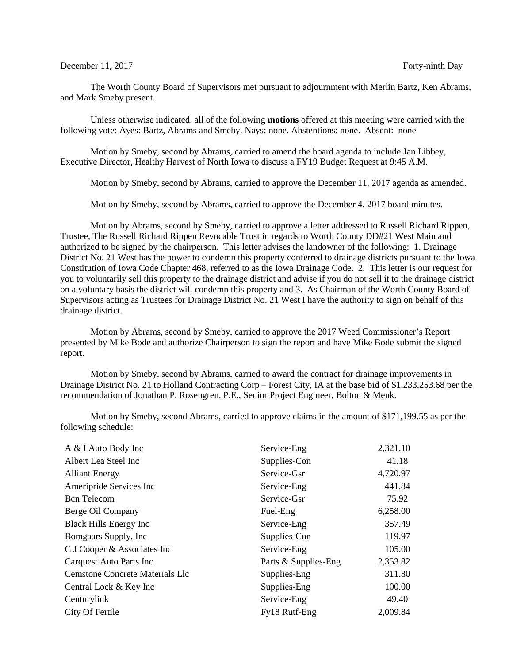## December 11, 2017 Forty-ninth Day

The Worth County Board of Supervisors met pursuant to adjournment with Merlin Bartz, Ken Abrams, and Mark Smeby present.

Unless otherwise indicated, all of the following **motions** offered at this meeting were carried with the following vote: Ayes: Bartz, Abrams and Smeby. Nays: none. Abstentions: none. Absent: none

Motion by Smeby, second by Abrams, carried to amend the board agenda to include Jan Libbey, Executive Director, Healthy Harvest of North Iowa to discuss a FY19 Budget Request at 9:45 A.M.

Motion by Smeby, second by Abrams, carried to approve the December 11, 2017 agenda as amended.

Motion by Smeby, second by Abrams, carried to approve the December 4, 2017 board minutes.

Motion by Abrams, second by Smeby, carried to approve a letter addressed to Russell Richard Rippen, Trustee, The Russell Richard Rippen Revocable Trust in regards to Worth County DD#21 West Main and authorized to be signed by the chairperson. This letter advises the landowner of the following: 1. Drainage District No. 21 West has the power to condemn this property conferred to drainage districts pursuant to the Iowa Constitution of Iowa Code Chapter 468, referred to as the Iowa Drainage Code. 2. This letter is our request for you to voluntarily sell this property to the drainage district and advise if you do not sell it to the drainage district on a voluntary basis the district will condemn this property and 3. As Chairman of the Worth County Board of Supervisors acting as Trustees for Drainage District No. 21 West I have the authority to sign on behalf of this drainage district.

Motion by Abrams, second by Smeby, carried to approve the 2017 Weed Commissioner's Report presented by Mike Bode and authorize Chairperson to sign the report and have Mike Bode submit the signed report.

Motion by Smeby, second by Abrams, carried to award the contract for drainage improvements in Drainage District No. 21 to Holland Contracting Corp – Forest City, IA at the base bid of \$1,233,253.68 per the recommendation of Jonathan P. Rosengren, P.E., Senior Project Engineer, Bolton & Menk.

Motion by Smeby, second Abrams, carried to approve claims in the amount of \$171,199.55 as per the following schedule:

| A & I Auto Body Inc                    | Service-Eng          | 2,321.10 |
|----------------------------------------|----------------------|----------|
| Albert Lea Steel Inc                   | Supplies-Con         | 41.18    |
| <b>Alliant Energy</b>                  | Service-Gsr          | 4,720.97 |
| Ameripride Services Inc                | Service-Eng          | 441.84   |
| <b>Bcn</b> Telecom                     | Service-Gsr          | 75.92    |
| Berge Oil Company                      | Fuel-Eng             | 6,258.00 |
| <b>Black Hills Energy Inc</b>          | Service-Eng          | 357.49   |
| Bomgaars Supply, Inc                   | Supplies-Con         | 119.97   |
| C J Cooper & Associates Inc            | Service-Eng          | 105.00   |
| <b>Carquest Auto Parts Inc</b>         | Parts & Supplies-Eng | 2,353.82 |
| <b>Cemstone Concrete Materials Llc</b> | Supplies-Eng         | 311.80   |
| Central Lock & Key Inc                 | Supplies-Eng         | 100.00   |
| Centurylink                            | Service-Eng          | 49.40    |
| City Of Fertile                        | Fy18 Rutf-Eng        | 2,009.84 |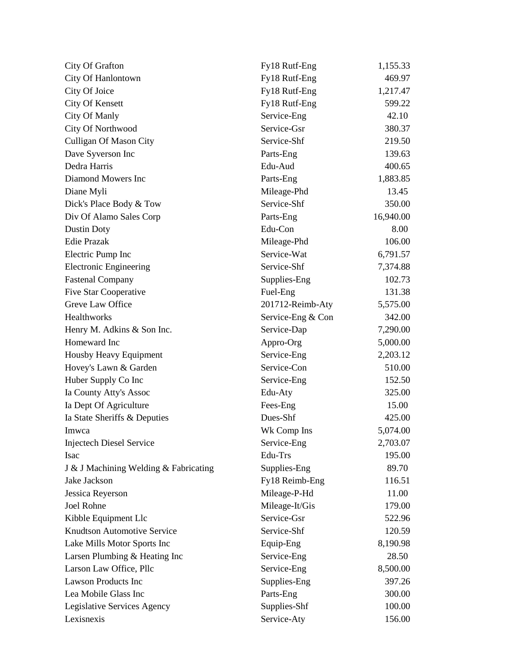| City Of Grafton                       | Fy18 Rutf-Eng     | 1,155.33  |
|---------------------------------------|-------------------|-----------|
| City Of Hanlontown                    | Fy18 Rutf-Eng     | 469.97    |
| City Of Joice                         | Fy18 Rutf-Eng     | 1,217.47  |
| <b>City Of Kensett</b>                | Fy18 Rutf-Eng     | 599.22    |
| City Of Manly                         | Service-Eng       | 42.10     |
| City Of Northwood                     | Service-Gsr       | 380.37    |
| Culligan Of Mason City                | Service-Shf       | 219.50    |
| Dave Syverson Inc                     | Parts-Eng         | 139.63    |
| Dedra Harris                          | Edu-Aud           | 400.65    |
| Diamond Mowers Inc                    | Parts-Eng         | 1,883.85  |
| Diane Myli                            | Mileage-Phd       | 13.45     |
| Dick's Place Body & Tow               | Service-Shf       | 350.00    |
| Div Of Alamo Sales Corp               | Parts-Eng         | 16,940.00 |
| <b>Dustin Doty</b>                    | Edu-Con           | 8.00      |
| <b>Edie Prazak</b>                    | Mileage-Phd       | 106.00    |
| Electric Pump Inc                     | Service-Wat       | 6,791.57  |
| <b>Electronic Engineering</b>         | Service-Shf       | 7,374.88  |
| <b>Fastenal Company</b>               | Supplies-Eng      | 102.73    |
| <b>Five Star Cooperative</b>          | Fuel-Eng          | 131.38    |
| Greve Law Office                      | 201712-Reimb-Aty  | 5,575.00  |
| Healthworks                           | Service-Eng & Con | 342.00    |
| Henry M. Adkins & Son Inc.            | Service-Dap       | 7,290.00  |
| Homeward Inc                          | Appro-Org         | 5,000.00  |
| Housby Heavy Equipment                | Service-Eng       | 2,203.12  |
| Hovey's Lawn & Garden                 | Service-Con       | 510.00    |
| Huber Supply Co Inc                   | Service-Eng       | 152.50    |
| Ia County Atty's Assoc                | Edu-Aty           | 325.00    |
| Ia Dept Of Agriculture                | Fees-Eng          | 15.00     |
| Ia State Sheriffs & Deputies          | Dues-Shf          | 425.00    |
| Imwca                                 | Wk Comp Ins       | 5,074.00  |
| <b>Injectech Diesel Service</b>       | Service-Eng       | 2,703.07  |
| Isac                                  | Edu-Trs           | 195.00    |
| J & J Machining Welding & Fabricating | Supplies-Eng      | 89.70     |
| Jake Jackson                          | Fy18 Reimb-Eng    | 116.51    |
| Jessica Reyerson                      | Mileage-P-Hd      | 11.00     |
| Joel Rohne                            | Mileage-It/Gis    | 179.00    |
| Kibble Equipment Llc                  | Service-Gsr       | 522.96    |
| Knudtson Automotive Service           | Service-Shf       | 120.59    |
| Lake Mills Motor Sports Inc           | Equip-Eng         | 8,190.98  |
| Larsen Plumbing & Heating Inc         | Service-Eng       | 28.50     |
| Larson Law Office, Pllc               | Service-Eng       | 8,500.00  |
| <b>Lawson Products Inc</b>            | Supplies-Eng      | 397.26    |
| Lea Mobile Glass Inc                  | Parts-Eng         | 300.00    |
| Legislative Services Agency           | Supplies-Shf      | 100.00    |
| Lexisnexis                            | Service-Aty       | 156.00    |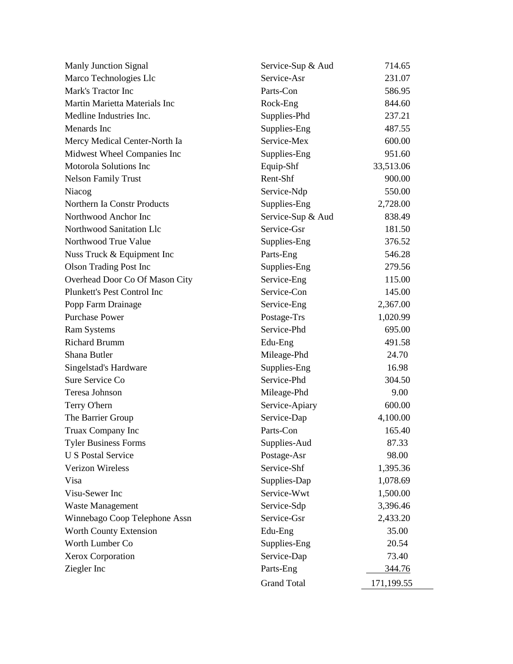| Manly Junction Signal          | Service-Sup & Aud  | 714.65     |
|--------------------------------|--------------------|------------|
| Marco Technologies Llc         | Service-Asr        | 231.07     |
| Mark's Tractor Inc             | Parts-Con          | 586.95     |
| Martin Marietta Materials Inc  | Rock-Eng           | 844.60     |
| Medline Industries Inc.        | Supplies-Phd       | 237.21     |
| Menards Inc                    | Supplies-Eng       | 487.55     |
| Mercy Medical Center-North Ia  | Service-Mex        | 600.00     |
| Midwest Wheel Companies Inc    | Supplies-Eng       | 951.60     |
| Motorola Solutions Inc         | Equip-Shf          | 33,513.06  |
| <b>Nelson Family Trust</b>     | Rent-Shf           | 900.00     |
| Niacog                         | Service-Ndp        | 550.00     |
| Northern Ia Constr Products    | Supplies-Eng       | 2,728.00   |
| Northwood Anchor Inc           | Service-Sup & Aud  | 838.49     |
| Northwood Sanitation Llc       | Service-Gsr        | 181.50     |
| Northwood True Value           | Supplies-Eng       | 376.52     |
| Nuss Truck & Equipment Inc     | Parts-Eng          | 546.28     |
| <b>Olson Trading Post Inc</b>  | Supplies-Eng       | 279.56     |
| Overhead Door Co Of Mason City | Service-Eng        | 115.00     |
| Plunkett's Pest Control Inc    | Service-Con        | 145.00     |
| Popp Farm Drainage             | Service-Eng        | 2,367.00   |
| <b>Purchase Power</b>          | Postage-Trs        | 1,020.99   |
| <b>Ram Systems</b>             | Service-Phd        | 695.00     |
| <b>Richard Brumm</b>           | Edu-Eng            | 491.58     |
| Shana Butler                   | Mileage-Phd        | 24.70      |
| Singelstad's Hardware          | Supplies-Eng       | 16.98      |
| Sure Service Co                | Service-Phd        | 304.50     |
| Teresa Johnson                 | Mileage-Phd        | 9.00       |
| Terry O'hern                   | Service-Apiary     | 600.00     |
| The Barrier Group              | Service-Dap        | 4,100.00   |
| Truax Company Inc              | Parts-Con          | 165.40     |
| <b>Tyler Business Forms</b>    | Supplies-Aud       | 87.33      |
| <b>U S Postal Service</b>      | Postage-Asr        | 98.00      |
| Verizon Wireless               | Service-Shf        | 1,395.36   |
| Visa                           | Supplies-Dap       | 1,078.69   |
| Visu-Sewer Inc                 | Service-Wwt        | 1,500.00   |
| Waste Management               | Service-Sdp        | 3,396.46   |
| Winnebago Coop Telephone Assn  | Service-Gsr        | 2,433.20   |
| Worth County Extension         | Edu-Eng            | 35.00      |
| Worth Lumber Co                | Supplies-Eng       | 20.54      |
| Xerox Corporation              | Service-Dap        | 73.40      |
| Ziegler Inc                    | Parts-Eng          | 344.76     |
|                                | <b>Grand Total</b> | 171,199.55 |